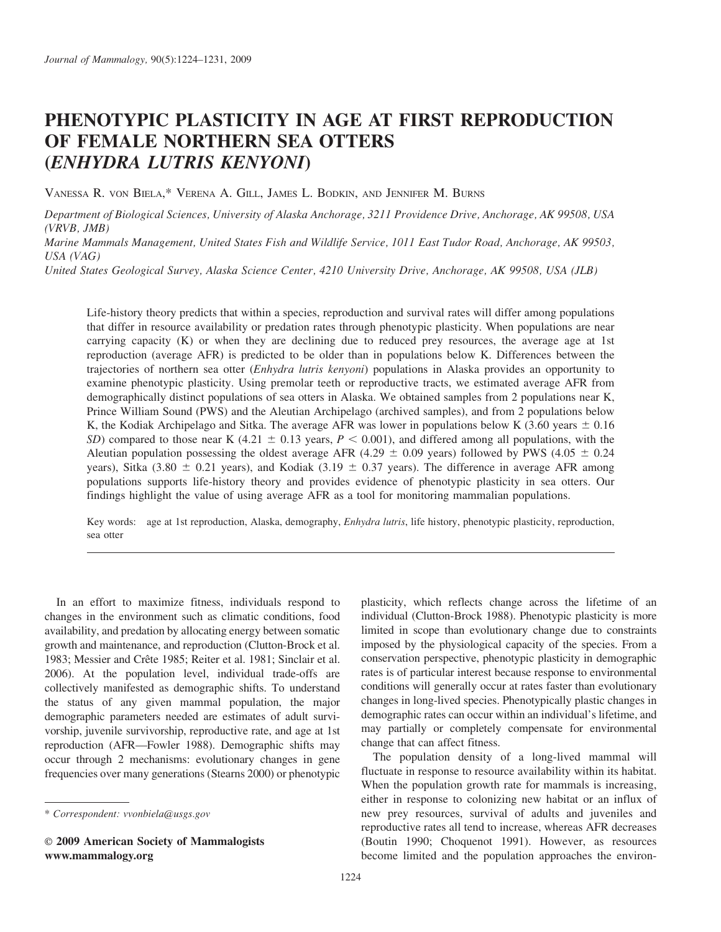# PHENOTYPIC PLASTICITY IN AGE AT FIRST REPRODUCTION OF FEMALE NORTHERN SEA OTTERS (ENHYDRA LUTRIS KENYONI)

VANESSA R. VON BIELA,\* VERENA A. GILL, JAMES L. BODKIN, AND JENNIFER M. BURNS

Department of Biological Sciences, University of Alaska Anchorage, 3211 Providence Drive, Anchorage, AK 99508, USA (VRVB, JMB)

Marine Mammals Management, United States Fish and Wildlife Service, 1011 East Tudor Road, Anchorage, AK 99503, USA (VAG)

United States Geological Survey, Alaska Science Center, 4210 University Drive, Anchorage, AK 99508, USA (JLB)

Life-history theory predicts that within a species, reproduction and survival rates will differ among populations that differ in resource availability or predation rates through phenotypic plasticity. When populations are near carrying capacity (K) or when they are declining due to reduced prey resources, the average age at 1st reproduction (average AFR) is predicted to be older than in populations below K. Differences between the trajectories of northern sea otter (*Enhydra lutris kenyoni*) populations in Alaska provides an opportunity to examine phenotypic plasticity. Using premolar teeth or reproductive tracts, we estimated average AFR from demographically distinct populations of sea otters in Alaska. We obtained samples from 2 populations near K, Prince William Sound (PWS) and the Aleutian Archipelago (archived samples), and from 2 populations below K, the Kodiak Archipelago and Sitka. The average AFR was lower in populations below K (3.60 years  $\pm$  0.16 SD) compared to those near K (4.21  $\pm$  0.13 years, P < 0.001), and differed among all populations, with the Aleutian population possessing the oldest average AFR (4.29  $\pm$  0.09 years) followed by PWS (4.05  $\pm$  0.24 years), Sitka (3.80  $\pm$  0.21 years), and Kodiak (3.19  $\pm$  0.37 years). The difference in average AFR among populations supports life-history theory and provides evidence of phenotypic plasticity in sea otters. Our findings highlight the value of using average AFR as a tool for monitoring mammalian populations.

Key words: age at 1st reproduction, Alaska, demography, *Enhydra lutris*, life history, phenotypic plasticity, reproduction, sea otter

In an effort to maximize fitness, individuals respond to changes in the environment such as climatic conditions, food availability, and predation by allocating energy between somatic growth and maintenance, and reproduction (Clutton-Brock et al. 1983; Messier and Crête 1985; Reiter et al. 1981; Sinclair et al. 2006). At the population level, individual trade-offs are collectively manifested as demographic shifts. To understand the status of any given mammal population, the major demographic parameters needed are estimates of adult survivorship, juvenile survivorship, reproductive rate, and age at 1st reproduction (AFR—Fowler 1988). Demographic shifts may occur through 2 mechanisms: evolutionary changes in gene frequencies over many generations (Stearns 2000) or phenotypic

E 2009 American Society of Mammalogists www.mammalogy.org

plasticity, which reflects change across the lifetime of an individual (Clutton-Brock 1988). Phenotypic plasticity is more limited in scope than evolutionary change due to constraints imposed by the physiological capacity of the species. From a conservation perspective, phenotypic plasticity in demographic rates is of particular interest because response to environmental conditions will generally occur at rates faster than evolutionary changes in long-lived species. Phenotypically plastic changes in demographic rates can occur within an individual's lifetime, and may partially or completely compensate for environmental change that can affect fitness.

The population density of a long-lived mammal will fluctuate in response to resource availability within its habitat. When the population growth rate for mammals is increasing, either in response to colonizing new habitat or an influx of new prey resources, survival of adults and juveniles and reproductive rates all tend to increase, whereas AFR decreases (Boutin 1990; Choquenot 1991). However, as resources become limited and the population approaches the environ-

<sup>\*</sup> Correspondent: vvonbiela@usgs.gov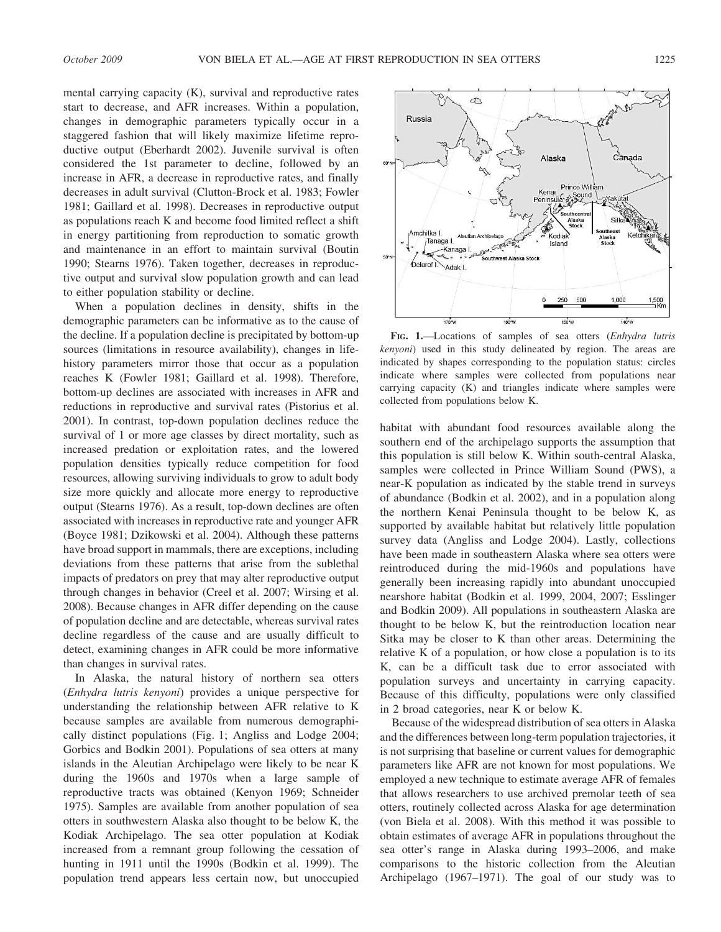mental carrying capacity (K), survival and reproductive rates start to decrease, and AFR increases. Within a population, changes in demographic parameters typically occur in a staggered fashion that will likely maximize lifetime reproductive output (Eberhardt 2002). Juvenile survival is often considered the 1st parameter to decline, followed by an increase in AFR, a decrease in reproductive rates, and finally decreases in adult survival (Clutton-Brock et al. 1983; Fowler 1981; Gaillard et al. 1998). Decreases in reproductive output as populations reach K and become food limited reflect a shift

in energy partitioning from reproduction to somatic growth and maintenance in an effort to maintain survival (Boutin 1990; Stearns 1976). Taken together, decreases in reproductive output and survival slow population growth and can lead to either population stability or decline.

When a population declines in density, shifts in the demographic parameters can be informative as to the cause of the decline. If a population decline is precipitated by bottom-up sources (limitations in resource availability), changes in lifehistory parameters mirror those that occur as a population reaches K (Fowler 1981; Gaillard et al. 1998). Therefore, bottom-up declines are associated with increases in AFR and reductions in reproductive and survival rates (Pistorius et al. 2001). In contrast, top-down population declines reduce the survival of 1 or more age classes by direct mortality, such as increased predation or exploitation rates, and the lowered population densities typically reduce competition for food resources, allowing surviving individuals to grow to adult body size more quickly and allocate more energy to reproductive output (Stearns 1976). As a result, top-down declines are often associated with increases in reproductive rate and younger AFR (Boyce 1981; Dzikowski et al. 2004). Although these patterns have broad support in mammals, there are exceptions, including deviations from these patterns that arise from the sublethal impacts of predators on prey that may alter reproductive output through changes in behavior (Creel et al. 2007; Wirsing et al. 2008). Because changes in AFR differ depending on the cause of population decline and are detectable, whereas survival rates decline regardless of the cause and are usually difficult to detect, examining changes in AFR could be more informative than changes in survival rates.

In Alaska, the natural history of northern sea otters (Enhydra lutris kenyoni) provides a unique perspective for understanding the relationship between AFR relative to K because samples are available from numerous demographically distinct populations (Fig. 1; Angliss and Lodge 2004; Gorbics and Bodkin 2001). Populations of sea otters at many islands in the Aleutian Archipelago were likely to be near K during the 1960s and 1970s when a large sample of reproductive tracts was obtained (Kenyon 1969; Schneider 1975). Samples are available from another population of sea otters in southwestern Alaska also thought to be below K, the Kodiak Archipelago. The sea otter population at Kodiak increased from a remnant group following the cessation of hunting in 1911 until the 1990s (Bodkin et al. 1999). The population trend appears less certain now, but unoccupied



FIG. 1.—Locations of samples of sea otters (Enhydra lutris kenyoni) used in this study delineated by region. The areas are indicated by shapes corresponding to the population status: circles indicate where samples were collected from populations near carrying capacity (K) and triangles indicate where samples were collected from populations below K.

habitat with abundant food resources available along the southern end of the archipelago supports the assumption that this population is still below K. Within south-central Alaska, samples were collected in Prince William Sound (PWS), a near-K population as indicated by the stable trend in surveys of abundance (Bodkin et al. 2002), and in a population along the northern Kenai Peninsula thought to be below K, as supported by available habitat but relatively little population survey data (Angliss and Lodge 2004). Lastly, collections have been made in southeastern Alaska where sea otters were reintroduced during the mid-1960s and populations have generally been increasing rapidly into abundant unoccupied nearshore habitat (Bodkin et al. 1999, 2004, 2007; Esslinger and Bodkin 2009). All populations in southeastern Alaska are thought to be below K, but the reintroduction location near Sitka may be closer to K than other areas. Determining the relative K of a population, or how close a population is to its K, can be a difficult task due to error associated with population surveys and uncertainty in carrying capacity. Because of this difficulty, populations were only classified in 2 broad categories, near K or below K.

Because of the widespread distribution of sea otters in Alaska and the differences between long-term population trajectories, it is not surprising that baseline or current values for demographic parameters like AFR are not known for most populations. We employed a new technique to estimate average AFR of females that allows researchers to use archived premolar teeth of sea otters, routinely collected across Alaska for age determination (von Biela et al. 2008). With this method it was possible to obtain estimates of average AFR in populations throughout the sea otter's range in Alaska during 1993–2006, and make comparisons to the historic collection from the Aleutian Archipelago (1967–1971). The goal of our study was to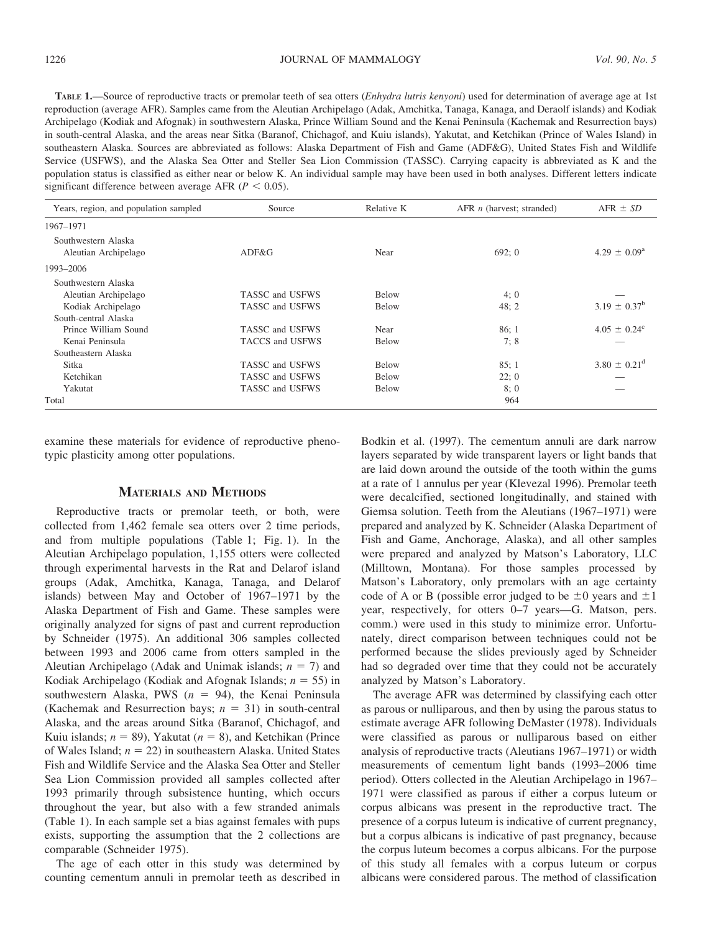TABLE 1.—Source of reproductive tracts or premolar teeth of sea otters (Enhydra lutris kenyoni) used for determination of average age at 1st reproduction (average AFR). Samples came from the Aleutian Archipelago (Adak, Amchitka, Tanaga, Kanaga, and Deraolf islands) and Kodiak Archipelago (Kodiak and Afognak) in southwestern Alaska, Prince William Sound and the Kenai Peninsula (Kachemak and Resurrection bays) in south-central Alaska, and the areas near Sitka (Baranof, Chichagof, and Kuiu islands), Yakutat, and Ketchikan (Prince of Wales Island) in southeastern Alaska. Sources are abbreviated as follows: Alaska Department of Fish and Game (ADF&G), United States Fish and Wildlife Service (USFWS), and the Alaska Sea Otter and Steller Sea Lion Commission (TASSC). Carrying capacity is abbreviated as K and the population status is classified as either near or below K. An individual sample may have been used in both analyses. Different letters indicate significant difference between average AFR ( $P < 0.05$ ).

| Years, region, and population sampled       | Source                 | Relative K | AFR $n$ (harvest; stranded) | $AFR \pm SD$               |
|---------------------------------------------|------------------------|------------|-----------------------------|----------------------------|
| 1967-1971                                   |                        |            |                             |                            |
| Southwestern Alaska<br>Aleutian Archipelago | ADF&G                  | Near       | 692:0                       | $4.29 \pm 0.09^{\text{a}}$ |
| 1993-2006                                   |                        |            |                             |                            |
| Southwestern Alaska                         |                        |            |                             |                            |
| Aleutian Archipelago                        | TASSC and USFWS        | Below      | 4:0                         |                            |
| Kodiak Archipelago                          | TASSC and USFWS        | Below      | 48:2                        | $3.19 \pm 0.37^b$          |
| South-central Alaska                        |                        |            |                             |                            |
| Prince William Sound                        | TASSC and USFWS        | Near       | 86:1                        | $4.05 \pm 0.24^{\circ}$    |
| Kenai Peninsula                             | <b>TACCS and USFWS</b> | Below      | 7;8                         |                            |
| Southeastern Alaska                         |                        |            |                             |                            |
| Sitka                                       | TASSC and USFWS        | Below      | 85:1                        | $3.80 \pm 0.21^{\rm d}$    |
| Ketchikan                                   | TASSC and USFWS        | Below      | 22:0                        |                            |
| Yakutat                                     | TASSC and USFWS        | Below      | 8;0                         |                            |
| Total                                       |                        |            | 964                         |                            |

examine these materials for evidence of reproductive phenotypic plasticity among otter populations.

## MATERIALS AND METHODS

Reproductive tracts or premolar teeth, or both, were collected from 1,462 female sea otters over 2 time periods, and from multiple populations (Table 1; Fig. 1). In the Aleutian Archipelago population, 1,155 otters were collected through experimental harvests in the Rat and Delarof island groups (Adak, Amchitka, Kanaga, Tanaga, and Delarof islands) between May and October of 1967–1971 by the Alaska Department of Fish and Game. These samples were originally analyzed for signs of past and current reproduction by Schneider (1975). An additional 306 samples collected between 1993 and 2006 came from otters sampled in the Aleutian Archipelago (Adak and Unimak islands;  $n = 7$ ) and Kodiak Archipelago (Kodiak and Afognak Islands;  $n = 55$ ) in southwestern Alaska, PWS ( $n = 94$ ), the Kenai Peninsula (Kachemak and Resurrection bays;  $n = 31$ ) in south-central Alaska, and the areas around Sitka (Baranof, Chichagof, and Kuiu islands;  $n = 89$ ), Yakutat ( $n = 8$ ), and Ketchikan (Prince of Wales Island;  $n = 22$ ) in southeastern Alaska. United States Fish and Wildlife Service and the Alaska Sea Otter and Steller Sea Lion Commission provided all samples collected after 1993 primarily through subsistence hunting, which occurs throughout the year, but also with a few stranded animals (Table 1). In each sample set a bias against females with pups exists, supporting the assumption that the 2 collections are comparable (Schneider 1975).

The age of each otter in this study was determined by counting cementum annuli in premolar teeth as described in Bodkin et al. (1997). The cementum annuli are dark narrow layers separated by wide transparent layers or light bands that are laid down around the outside of the tooth within the gums at a rate of 1 annulus per year (Klevezal 1996). Premolar teeth were decalcified, sectioned longitudinally, and stained with Giemsa solution. Teeth from the Aleutians (1967–1971) were prepared and analyzed by K. Schneider (Alaska Department of Fish and Game, Anchorage, Alaska), and all other samples were prepared and analyzed by Matson's Laboratory, LLC (Milltown, Montana). For those samples processed by Matson's Laboratory, only premolars with an age certainty code of A or B (possible error judged to be  $\pm 0$  years and  $\pm 1$ year, respectively, for otters 0–7 years—G. Matson, pers. comm.) were used in this study to minimize error. Unfortunately, direct comparison between techniques could not be performed because the slides previously aged by Schneider had so degraded over time that they could not be accurately analyzed by Matson's Laboratory.

The average AFR was determined by classifying each otter as parous or nulliparous, and then by using the parous status to estimate average AFR following DeMaster (1978). Individuals were classified as parous or nulliparous based on either analysis of reproductive tracts (Aleutians 1967–1971) or width measurements of cementum light bands (1993–2006 time period). Otters collected in the Aleutian Archipelago in 1967– 1971 were classified as parous if either a corpus luteum or corpus albicans was present in the reproductive tract. The presence of a corpus luteum is indicative of current pregnancy, but a corpus albicans is indicative of past pregnancy, because the corpus luteum becomes a corpus albicans. For the purpose of this study all females with a corpus luteum or corpus albicans were considered parous. The method of classification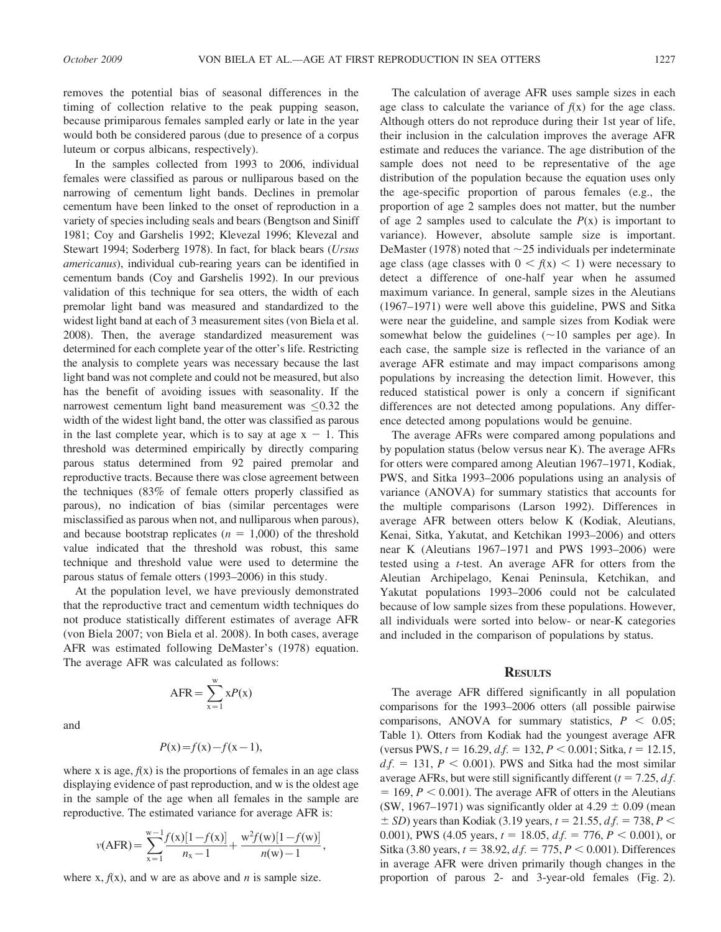removes the potential bias of seasonal differences in the timing of collection relative to the peak pupping season, because primiparous females sampled early or late in the year would both be considered parous (due to presence of a corpus luteum or corpus albicans, respectively).

In the samples collected from 1993 to 2006, individual females were classified as parous or nulliparous based on the narrowing of cementum light bands. Declines in premolar cementum have been linked to the onset of reproduction in a variety of species including seals and bears (Bengtson and Siniff 1981; Coy and Garshelis 1992; Klevezal 1996; Klevezal and Stewart 1994; Soderberg 1978). In fact, for black bears (Ursus americanus), individual cub-rearing years can be identified in cementum bands (Coy and Garshelis 1992). In our previous validation of this technique for sea otters, the width of each premolar light band was measured and standardized to the widest light band at each of 3 measurement sites (von Biela et al. 2008). Then, the average standardized measurement was determined for each complete year of the otter's life. Restricting the analysis to complete years was necessary because the last light band was not complete and could not be measured, but also has the benefit of avoiding issues with seasonality. If the narrowest cementum light band measurement was  $\leq 0.32$  the width of the widest light band, the otter was classified as parous in the last complete year, which is to say at age  $x - 1$ . This threshold was determined empirically by directly comparing parous status determined from 92 paired premolar and reproductive tracts. Because there was close agreement between the techniques (83% of female otters properly classified as parous), no indication of bias (similar percentages were misclassified as parous when not, and nulliparous when parous), and because bootstrap replicates ( $n = 1,000$ ) of the threshold value indicated that the threshold was robust, this same technique and threshold value were used to determine the parous status of female otters (1993–2006) in this study.

At the population level, we have previously demonstrated that the reproductive tract and cementum width techniques do not produce statistically different estimates of average AFR (von Biela 2007; von Biela et al. 2008). In both cases, average AFR was estimated following DeMaster's (1978) equation. The average AFR was calculated as follows:

and

$$
P(x)=f(x)-f(x-1),
$$

 $\overline{x=1}$ 

 $xP(x)$ 

 $AFR=\sum_{x}^{w}$ 

where x is age,  $f(x)$  is the proportions of females in an age class displaying evidence of past reproduction, and w is the oldest age in the sample of the age when all females in the sample are reproductive. The estimated variance for average AFR is:

$$
v(\text{AFR}) = \sum_{x=1}^{w-1} \frac{f(x)[1-f(x)]}{n_x-1} + \frac{w^2 f(w)[1-f(w)]}{n(w)-1},
$$

where x,  $f(x)$ , and w are as above and *n* is sample size.

The calculation of average AFR uses sample sizes in each age class to calculate the variance of  $f(x)$  for the age class. Although otters do not reproduce during their 1st year of life, their inclusion in the calculation improves the average AFR estimate and reduces the variance. The age distribution of the sample does not need to be representative of the age distribution of the population because the equation uses only the age-specific proportion of parous females (e.g., the proportion of age 2 samples does not matter, but the number of age 2 samples used to calculate the  $P(x)$  is important to variance). However, absolute sample size is important. DeMaster (1978) noted that  $\sim$ 25 individuals per indeterminate age class (age classes with  $0 < f(x) < 1$ ) were necessary to detect a difference of one-half year when he assumed maximum variance. In general, sample sizes in the Aleutians (1967–1971) were well above this guideline, PWS and Sitka were near the guideline, and sample sizes from Kodiak were somewhat below the guidelines  $(\sim 10$  samples per age). In each case, the sample size is reflected in the variance of an average AFR estimate and may impact comparisons among populations by increasing the detection limit. However, this reduced statistical power is only a concern if significant differences are not detected among populations. Any difference detected among populations would be genuine.

The average AFRs were compared among populations and by population status (below versus near K). The average AFRs for otters were compared among Aleutian 1967–1971, Kodiak, PWS, and Sitka 1993–2006 populations using an analysis of variance (ANOVA) for summary statistics that accounts for the multiple comparisons (Larson 1992). Differences in average AFR between otters below K (Kodiak, Aleutians, Kenai, Sitka, Yakutat, and Ketchikan 1993–2006) and otters near K (Aleutians 1967–1971 and PWS 1993–2006) were tested using a t-test. An average AFR for otters from the Aleutian Archipelago, Kenai Peninsula, Ketchikan, and Yakutat populations 1993–2006 could not be calculated because of low sample sizes from these populations. However, all individuals were sorted into below- or near-K categories and included in the comparison of populations by status.

#### **RESULTS**

The average AFR differed significantly in all population comparisons for the 1993–2006 otters (all possible pairwise comparisons, ANOVA for summary statistics,  $P < 0.05$ ; Table 1). Otters from Kodiak had the youngest average AFR (versus PWS,  $t = 16.29$ ,  $df = 132$ ,  $P < 0.001$ ; Sitka,  $t = 12.15$ ,  $df = 131, P \le 0.001$ . PWS and Sitka had the most similar average AFRs, but were still significantly different ( $t = 7.25$ , d.f.  $= 169, P < 0.001$ ). The average AFR of otters in the Aleutians (SW, 1967–1971) was significantly older at 4.29  $\pm$  0.09 (mean  $\pm$  SD) years than Kodiak (3.19 years,  $t = 21.55$ , d.f. = 738, P < 0.001), PWS (4.05 years,  $t = 18.05$ ,  $df = 776$ ,  $P < 0.001$ ), or Sitka (3.80 years,  $t = 38.92$ ,  $df = 775$ ,  $P < 0.001$ ). Differences in average AFR were driven primarily though changes in the proportion of parous 2- and 3-year-old females (Fig. 2).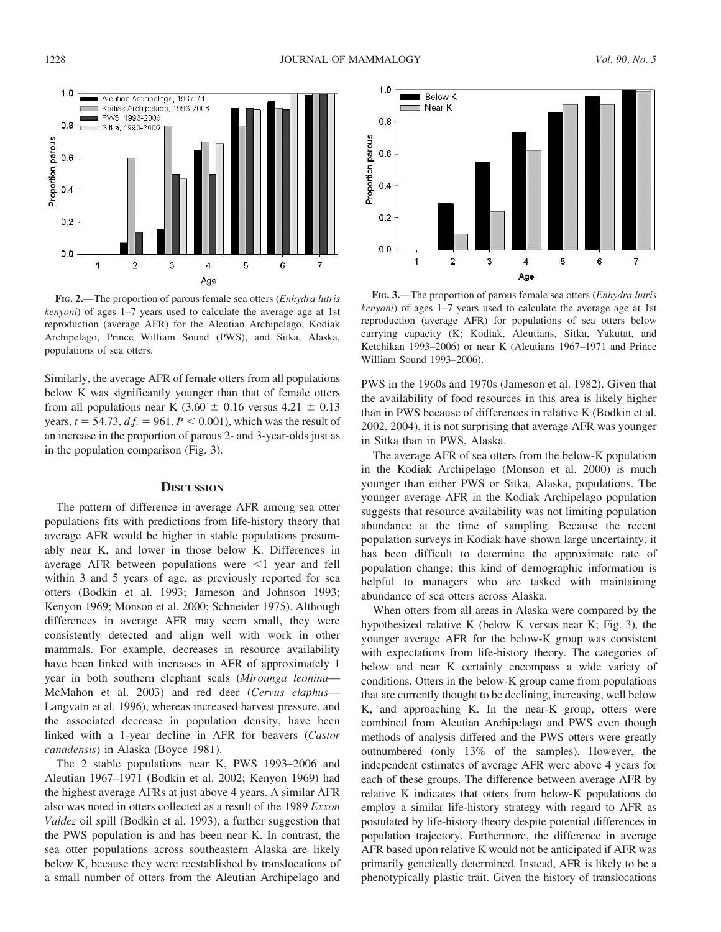

FIG. 2.—The proportion of parous female sea otters (Enhydra lutris kenyoni) of ages 1–7 years used to calculate the average age at 1st reproduction (average AFR) for the Aleutian Archipelago, Kodiak Archipelago, Prince William Sound (PWS), and Sitka, Alaska, populations of sea otters.

Similarly, the average AFR of female otters from all populations below K was significantly younger than that of female otters from all populations near K (3.60  $\pm$  0.16 versus 4.21  $\pm$  0.13 years,  $t = 54.73$ ,  $df = 961$ ,  $P < 0.001$ ), which was the result of an increase in the proportion of parous 2- and 3-year-olds just as in the population comparison (Fig. 3).

#### **DISCUSSION**

The pattern of difference in average AFR among sea otter populations fits with predictions from life-history theory that average AFR would be higher in stable populations presumably near K, and lower in those below K. Differences in average AFR between populations were  $\leq 1$  year and fell within 3 and 5 years of age, as previously reported for sea otters (Bodkin et al. 1993; Jameson and Johnson 1993; Kenyon 1969; Monson et al. 2000; Schneider 1975). Although differences in average AFR may seem small, they were consistently detected and align well with work in other mammals. For example, decreases in resource availability have been linked with increases in AFR of approximately 1 year in both southern elephant seals (Mirounga leonina— McMahon et al. 2003) and red deer (Cervus elaphus— Langvatn et al. 1996), whereas increased harvest pressure, and the associated decrease in population density, have been linked with a 1-year decline in AFR for beavers (Castor canadensis) in Alaska (Boyce 1981).

The 2 stable populations near K, PWS 1993–2006 and Aleutian 1967–1971 (Bodkin et al. 2002; Kenyon 1969) had the highest average AFRs at just above 4 years. A similar AFR also was noted in otters collected as a result of the 1989 Exxon Valdez oil spill (Bodkin et al. 1993), a further suggestion that the PWS population is and has been near K. In contrast, the sea otter populations across southeastern Alaska are likely below K, because they were reestablished by translocations of a small number of otters from the Aleutian Archipelago and



FIG. 3.—The proportion of parous female sea otters (Enhydra lutris kenyoni) of ages 1–7 years used to calculate the average age at 1st reproduction (average AFR) for populations of sea otters below carrying capacity (K; Kodiak, Aleutians, Sitka, Yakutat, and Ketchikan 1993–2006) or near K (Aleutians 1967–1971 and Prince William Sound 1993–2006).

PWS in the 1960s and 1970s (Jameson et al. 1982). Given that the availability of food resources in this area is likely higher than in PWS because of differences in relative K (Bodkin et al. 2002, 2004), it is not surprising that average AFR was younger in Sitka than in PWS, Alaska.

The average AFR of sea otters from the below-K population in the Kodiak Archipelago (Monson et al. 2000) is much younger than either PWS or Sitka, Alaska, populations. The younger average AFR in the Kodiak Archipelago population suggests that resource availability was not limiting population abundance at the time of sampling. Because the recent population surveys in Kodiak have shown large uncertainty, it has been difficult to determine the approximate rate of population change; this kind of demographic information is helpful to managers who are tasked with maintaining abundance of sea otters across Alaska.

When otters from all areas in Alaska were compared by the hypothesized relative K (below K versus near K; Fig. 3), the younger average AFR for the below-K group was consistent with expectations from life-history theory. The categories of below and near K certainly encompass a wide variety of conditions. Otters in the below-K group came from populations that are currently thought to be declining, increasing, well below K, and approaching K. In the near-K group, otters were combined from Aleutian Archipelago and PWS even though methods of analysis differed and the PWS otters were greatly outnumbered (only 13% of the samples). However, the independent estimates of average AFR were above 4 years for each of these groups. The difference between average AFR by relative K indicates that otters from below-K populations do employ a similar life-history strategy with regard to AFR as postulated by life-history theory despite potential differences in population trajectory. Furthermore, the difference in average AFR based upon relative K would not be anticipated if AFR was primarily genetically determined. Instead, AFR is likely to be a phenotypically plastic trait. Given the history of translocations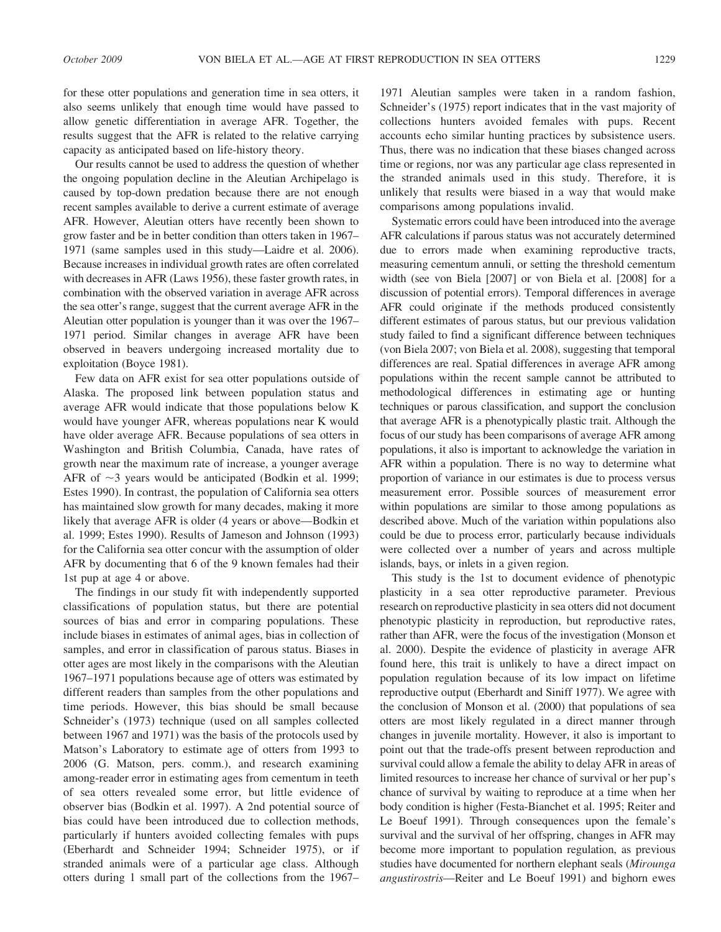for these otter populations and generation time in sea otters, it also seems unlikely that enough time would have passed to allow genetic differentiation in average AFR. Together, the results suggest that the AFR is related to the relative carrying capacity as anticipated based on life-history theory.

Our results cannot be used to address the question of whether the ongoing population decline in the Aleutian Archipelago is caused by top-down predation because there are not enough recent samples available to derive a current estimate of average AFR. However, Aleutian otters have recently been shown to grow faster and be in better condition than otters taken in 1967– 1971 (same samples used in this study—Laidre et al. 2006). Because increases in individual growth rates are often correlated with decreases in AFR (Laws 1956), these faster growth rates, in combination with the observed variation in average AFR across the sea otter's range, suggest that the current average AFR in the Aleutian otter population is younger than it was over the 1967– 1971 period. Similar changes in average AFR have been observed in beavers undergoing increased mortality due to exploitation (Boyce 1981).

Few data on AFR exist for sea otter populations outside of Alaska. The proposed link between population status and average AFR would indicate that those populations below K would have younger AFR, whereas populations near K would have older average AFR. Because populations of sea otters in Washington and British Columbia, Canada, have rates of growth near the maximum rate of increase, a younger average AFR of  $\sim$ 3 years would be anticipated (Bodkin et al. 1999; Estes 1990). In contrast, the population of California sea otters has maintained slow growth for many decades, making it more likely that average AFR is older (4 years or above—Bodkin et al. 1999; Estes 1990). Results of Jameson and Johnson (1993) for the California sea otter concur with the assumption of older AFR by documenting that 6 of the 9 known females had their 1st pup at age 4 or above.

The findings in our study fit with independently supported classifications of population status, but there are potential sources of bias and error in comparing populations. These include biases in estimates of animal ages, bias in collection of samples, and error in classification of parous status. Biases in otter ages are most likely in the comparisons with the Aleutian 1967–1971 populations because age of otters was estimated by different readers than samples from the other populations and time periods. However, this bias should be small because Schneider's (1973) technique (used on all samples collected between 1967 and 1971) was the basis of the protocols used by Matson's Laboratory to estimate age of otters from 1993 to 2006 (G. Matson, pers. comm.), and research examining among-reader error in estimating ages from cementum in teeth of sea otters revealed some error, but little evidence of observer bias (Bodkin et al. 1997). A 2nd potential source of bias could have been introduced due to collection methods, particularly if hunters avoided collecting females with pups (Eberhardt and Schneider 1994; Schneider 1975), or if stranded animals were of a particular age class. Although otters during 1 small part of the collections from the 1967–

1971 Aleutian samples were taken in a random fashion, Schneider's (1975) report indicates that in the vast majority of collections hunters avoided females with pups. Recent accounts echo similar hunting practices by subsistence users. Thus, there was no indication that these biases changed across time or regions, nor was any particular age class represented in the stranded animals used in this study. Therefore, it is unlikely that results were biased in a way that would make comparisons among populations invalid.

Systematic errors could have been introduced into the average AFR calculations if parous status was not accurately determined due to errors made when examining reproductive tracts, measuring cementum annuli, or setting the threshold cementum width (see von Biela [2007] or von Biela et al. [2008] for a discussion of potential errors). Temporal differences in average AFR could originate if the methods produced consistently different estimates of parous status, but our previous validation study failed to find a significant difference between techniques (von Biela 2007; von Biela et al. 2008), suggesting that temporal differences are real. Spatial differences in average AFR among populations within the recent sample cannot be attributed to methodological differences in estimating age or hunting techniques or parous classification, and support the conclusion that average AFR is a phenotypically plastic trait. Although the focus of our study has been comparisons of average AFR among populations, it also is important to acknowledge the variation in AFR within a population. There is no way to determine what proportion of variance in our estimates is due to process versus measurement error. Possible sources of measurement error within populations are similar to those among populations as described above. Much of the variation within populations also could be due to process error, particularly because individuals were collected over a number of years and across multiple islands, bays, or inlets in a given region.

This study is the 1st to document evidence of phenotypic plasticity in a sea otter reproductive parameter. Previous research on reproductive plasticity in sea otters did not document phenotypic plasticity in reproduction, but reproductive rates, rather than AFR, were the focus of the investigation (Monson et al. 2000). Despite the evidence of plasticity in average AFR found here, this trait is unlikely to have a direct impact on population regulation because of its low impact on lifetime reproductive output (Eberhardt and Siniff 1977). We agree with the conclusion of Monson et al. (2000) that populations of sea otters are most likely regulated in a direct manner through changes in juvenile mortality. However, it also is important to point out that the trade-offs present between reproduction and survival could allow a female the ability to delay AFR in areas of limited resources to increase her chance of survival or her pup's chance of survival by waiting to reproduce at a time when her body condition is higher (Festa-Bianchet et al. 1995; Reiter and Le Boeuf 1991). Through consequences upon the female's survival and the survival of her offspring, changes in AFR may become more important to population regulation, as previous studies have documented for northern elephant seals (Mirounga angustirostris—Reiter and Le Boeuf 1991) and bighorn ewes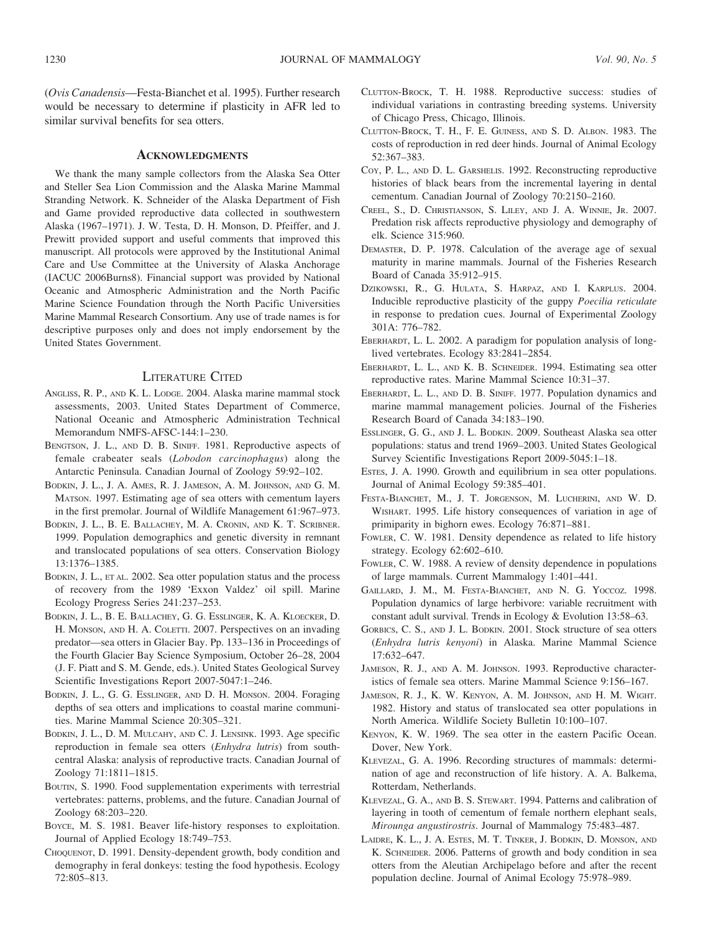(Ovis Canadensis—Festa-Bianchet et al. 1995). Further research would be necessary to determine if plasticity in AFR led to similar survival benefits for sea otters.

#### **ACKNOWLEDGMENTS**

We thank the many sample collectors from the Alaska Sea Otter and Steller Sea Lion Commission and the Alaska Marine Mammal Stranding Network. K. Schneider of the Alaska Department of Fish and Game provided reproductive data collected in southwestern Alaska (1967–1971). J. W. Testa, D. H. Monson, D. Pfeiffer, and J. Prewitt provided support and useful comments that improved this manuscript. All protocols were approved by the Institutional Animal Care and Use Committee at the University of Alaska Anchorage (IACUC 2006Burns8). Financial support was provided by National Oceanic and Atmospheric Administration and the North Pacific Marine Science Foundation through the North Pacific Universities Marine Mammal Research Consortium. Any use of trade names is for descriptive purposes only and does not imply endorsement by the United States Government.

### LITERATURE CITED

- ANGLISS, R. P., AND K. L. LODGE. 2004. Alaska marine mammal stock assessments, 2003. United States Department of Commerce, National Oceanic and Atmospheric Administration Technical Memorandum NMFS-AFSC-144:1–230.
- BENGTSON, J. L., AND D. B. SINIFF. 1981. Reproductive aspects of female crabeater seals (Lobodon carcinophagus) along the Antarctic Peninsula. Canadian Journal of Zoology 59:92–102.
- BODKIN, J. L., J. A. AMES, R. J. JAMESON, A. M. JOHNSON, AND G. M. MATSON. 1997. Estimating age of sea otters with cementum layers in the first premolar. Journal of Wildlife Management 61:967–973.
- BODKIN, J. L., B. E. BALLACHEY, M. A. CRONIN, AND K. T. SCRIBNER. 1999. Population demographics and genetic diversity in remnant and translocated populations of sea otters. Conservation Biology 13:1376–1385.
- BODKIN, J. L., ET AL. 2002. Sea otter population status and the process of recovery from the 1989 'Exxon Valdez' oil spill. Marine Ecology Progress Series 241:237–253.
- BODKIN, J. L., B. E. BALLACHEY, G. G. ESSLINGER, K. A. KLOECKER, D. H. MONSON, AND H. A. COLETTI. 2007. Perspectives on an invading predator—sea otters in Glacier Bay. Pp. 133–136 in Proceedings of the Fourth Glacier Bay Science Symposium, October 26–28, 2004 (J. F. Piatt and S. M. Gende, eds.). United States Geological Survey Scientific Investigations Report 2007-5047:1–246.
- BODKIN, J. L., G. G. ESSLINGER, AND D. H. MONSON. 2004. Foraging depths of sea otters and implications to coastal marine communities. Marine Mammal Science 20:305–321.
- BODKIN, J. L., D. M. MULCAHY, AND C. J. LENSINK. 1993. Age specific reproduction in female sea otters (Enhydra lutris) from southcentral Alaska: analysis of reproductive tracts. Canadian Journal of Zoology 71:1811–1815.
- BOUTIN, S. 1990. Food supplementation experiments with terrestrial vertebrates: patterns, problems, and the future. Canadian Journal of Zoology 68:203–220.
- BOYCE, M. S. 1981. Beaver life-history responses to exploitation. Journal of Applied Ecology 18:749–753.
- CHOQUENOT, D. 1991. Density-dependent growth, body condition and demography in feral donkeys: testing the food hypothesis. Ecology 72:805–813.
- CLUTTON-BROCK, T. H. 1988. Reproductive success: studies of individual variations in contrasting breeding systems. University of Chicago Press, Chicago, Illinois.
- CLUTTON-BROCK, T. H., F. E. GUINESS, AND S. D. ALBON. 1983. The costs of reproduction in red deer hinds. Journal of Animal Ecology 52:367–383.
- COY, P. L., AND D. L. GARSHELIS. 1992. Reconstructing reproductive histories of black bears from the incremental layering in dental cementum. Canadian Journal of Zoology 70:2150–2160.
- CREEL, S., D. CHRISTIANSON, S. LILEY, AND J. A. WINNIE, JR. 2007. Predation risk affects reproductive physiology and demography of elk. Science 315:960.
- DEMASTER, D. P. 1978. Calculation of the average age of sexual maturity in marine mammals. Journal of the Fisheries Research Board of Canada 35:912–915.
- DZIKOWSKI, R., G. HULATA, S. HARPAZ, AND I. KARPLUS. 2004. Inducible reproductive plasticity of the guppy Poecilia reticulate in response to predation cues. Journal of Experimental Zoology 301A: 776–782.
- EBERHARDT, L. L. 2002. A paradigm for population analysis of longlived vertebrates. Ecology 83:2841–2854.
- EBERHARDT, L. L., AND K. B. SCHNEIDER. 1994. Estimating sea otter reproductive rates. Marine Mammal Science 10:31–37.
- EBERHARDT, L. L., AND D. B. SINIFF. 1977. Population dynamics and marine mammal management policies. Journal of the Fisheries Research Board of Canada 34:183–190.
- ESSLINGER, G. G., AND J. L. BODKIN. 2009. Southeast Alaska sea otter populations: status and trend 1969–2003. United States Geological Survey Scientific Investigations Report 2009-5045:1–18.
- ESTES, J. A. 1990. Growth and equilibrium in sea otter populations. Journal of Animal Ecology 59:385–401.
- FESTA-BIANCHET, M., J. T. JORGENSON, M. LUCHERINI, AND W. D. WISHART. 1995. Life history consequences of variation in age of primiparity in bighorn ewes. Ecology 76:871–881.
- FOWLER, C. W. 1981. Density dependence as related to life history strategy. Ecology 62:602–610.
- FOWLER, C. W. 1988. A review of density dependence in populations of large mammals. Current Mammalogy 1:401–441.
- GAILLARD, J. M., M. FESTA-BIANCHET, AND N. G. YOCCOZ. 1998. Population dynamics of large herbivore: variable recruitment with constant adult survival. Trends in Ecology & Evolution 13:58–63.
- GORBICS, C. S., AND J. L. BODKIN. 2001. Stock structure of sea otters (Enhydra lutris kenyoni) in Alaska. Marine Mammal Science 17:632–647.
- JAMESON, R. J., AND A. M. JOHNSON. 1993. Reproductive characteristics of female sea otters. Marine Mammal Science 9:156–167.
- JAMESON, R. J., K. W. KENYON, A. M. JOHNSON, AND H. M. WIGHT. 1982. History and status of translocated sea otter populations in North America. Wildlife Society Bulletin 10:100–107.
- KENYON, K. W. 1969. The sea otter in the eastern Pacific Ocean. Dover, New York.
- KLEVEZAL, G. A. 1996. Recording structures of mammals: determination of age and reconstruction of life history. A. A. Balkema, Rotterdam, Netherlands.
- KLEVEZAL, G. A., AND B. S. STEWART. 1994. Patterns and calibration of layering in tooth of cementum of female northern elephant seals, Mirounga angustirostris. Journal of Mammalogy 75:483–487.
- LAIDRE, K. L., J. A. ESTES, M. T. TINKER, J. BODKIN, D. MONSON, AND K. SCHNEIDER. 2006. Patterns of growth and body condition in sea otters from the Aleutian Archipelago before and after the recent population decline. Journal of Animal Ecology 75:978–989.